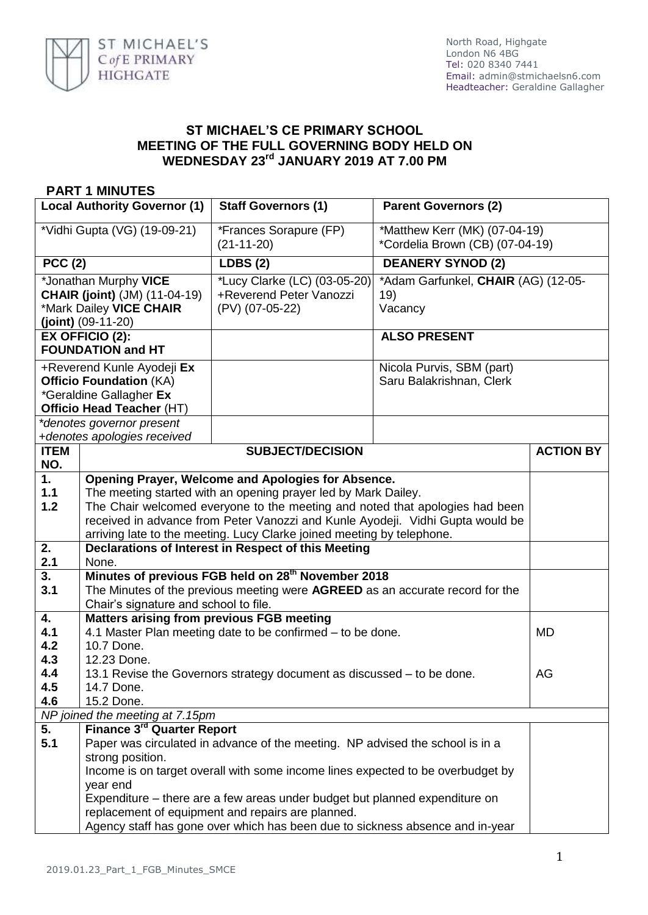

## **ST MICHAEL'S CE PRIMARY SCHOOL MEETING OF THE FULL GOVERNING BODY HELD ON WEDNESDAY 23rd JANUARY 2019 AT 7.00 PM**

## **PART 1 MINUTES**

| <b>Local Authority Governor (1)</b>                                                                                  |                                                                                                                                                                                                                                                                                 | <b>Staff Governors (1)</b>                                                                                                                                                                                                                                                                                                                                       | <b>Parent Governors (2)</b>                                      |                  |  |
|----------------------------------------------------------------------------------------------------------------------|---------------------------------------------------------------------------------------------------------------------------------------------------------------------------------------------------------------------------------------------------------------------------------|------------------------------------------------------------------------------------------------------------------------------------------------------------------------------------------------------------------------------------------------------------------------------------------------------------------------------------------------------------------|------------------------------------------------------------------|------------------|--|
| *Vidhi Gupta (VG) (19-09-21)                                                                                         |                                                                                                                                                                                                                                                                                 | *Frances Sorapure (FP)<br>$(21-11-20)$                                                                                                                                                                                                                                                                                                                           | *Matthew Kerr (MK) (07-04-19)<br>*Cordelia Brown (CB) (07-04-19) |                  |  |
| PCC(2)                                                                                                               |                                                                                                                                                                                                                                                                                 | <b>LDBS (2)</b>                                                                                                                                                                                                                                                                                                                                                  | <b>DEANERY SYNOD (2)</b>                                         |                  |  |
| *Jonathan Murphy VICE<br><b>CHAIR (joint)</b> (JM) (11-04-19)<br>*Mark Dailey VICE CHAIR<br>$(joint)$ (09-11-20)     |                                                                                                                                                                                                                                                                                 | *Lucy Clarke (LC) (03-05-20)<br>+Reverend Peter Vanozzi<br>(PV) (07-05-22)                                                                                                                                                                                                                                                                                       | *Adam Garfunkel, CHAIR (AG) (12-05-<br>19)<br>Vacancy            |                  |  |
| EX OFFICIO (2):<br><b>FOUNDATION and HT</b>                                                                          |                                                                                                                                                                                                                                                                                 |                                                                                                                                                                                                                                                                                                                                                                  | <b>ALSO PRESENT</b>                                              |                  |  |
| +Reverend Kunle Ayodeji Ex<br><b>Officio Foundation (KA)</b><br>*Geraldine Gallagher Ex<br>Officio Head Teacher (HT) |                                                                                                                                                                                                                                                                                 |                                                                                                                                                                                                                                                                                                                                                                  | Nicola Purvis, SBM (part)<br>Saru Balakrishnan, Clerk            |                  |  |
|                                                                                                                      | *denotes governor present<br>+denotes apologies received                                                                                                                                                                                                                        |                                                                                                                                                                                                                                                                                                                                                                  |                                                                  |                  |  |
| <b>ITEM</b>                                                                                                          |                                                                                                                                                                                                                                                                                 | <b>SUBJECT/DECISION</b>                                                                                                                                                                                                                                                                                                                                          |                                                                  | <b>ACTION BY</b> |  |
| NO.                                                                                                                  |                                                                                                                                                                                                                                                                                 |                                                                                                                                                                                                                                                                                                                                                                  |                                                                  |                  |  |
| 1.<br>1.1<br>1.2                                                                                                     |                                                                                                                                                                                                                                                                                 | Opening Prayer, Welcome and Apologies for Absence.<br>The meeting started with an opening prayer led by Mark Dailey.<br>The Chair welcomed everyone to the meeting and noted that apologies had been<br>received in advance from Peter Vanozzi and Kunle Ayodeji. Vidhi Gupta would be<br>arriving late to the meeting. Lucy Clarke joined meeting by telephone. |                                                                  |                  |  |
| 2.<br>2.1                                                                                                            | Declarations of Interest in Respect of this Meeting<br>None.                                                                                                                                                                                                                    |                                                                                                                                                                                                                                                                                                                                                                  |                                                                  |                  |  |
| 3.<br>3.1                                                                                                            | Minutes of previous FGB held on 28 <sup>th</sup> November 2018<br>The Minutes of the previous meeting were AGREED as an accurate record for the<br>Chair's signature and school to file.                                                                                        |                                                                                                                                                                                                                                                                                                                                                                  |                                                                  |                  |  |
| 4.<br>4.1<br>4.2                                                                                                     | Matters arising from previous FGB meeting<br>4.1 Master Plan meeting date to be confirmed – to be done.<br>10.7 Done.                                                                                                                                                           |                                                                                                                                                                                                                                                                                                                                                                  |                                                                  | <b>MD</b>        |  |
| 4.3<br>4.4<br>4.5<br>4.6                                                                                             | 12.23 Done.<br>13.1 Revise the Governors strategy document as discussed – to be done.<br>14.7 Done.<br>15.2 Done.                                                                                                                                                               |                                                                                                                                                                                                                                                                                                                                                                  |                                                                  | AG               |  |
| NP joined the meeting at 7.15pm                                                                                      |                                                                                                                                                                                                                                                                                 |                                                                                                                                                                                                                                                                                                                                                                  |                                                                  |                  |  |
| 5.                                                                                                                   | Finance 3 <sup>rd</sup> Quarter Report                                                                                                                                                                                                                                          |                                                                                                                                                                                                                                                                                                                                                                  |                                                                  |                  |  |
| 5.1                                                                                                                  | Paper was circulated in advance of the meeting. NP advised the school is in a<br>strong position.<br>Income is on target overall with some income lines expected to be overbudget by<br>year end<br>Expenditure – there are a few areas under budget but planned expenditure on |                                                                                                                                                                                                                                                                                                                                                                  |                                                                  |                  |  |
|                                                                                                                      | replacement of equipment and repairs are planned.<br>Agency staff has gone over which has been due to sickness absence and in-year                                                                                                                                              |                                                                                                                                                                                                                                                                                                                                                                  |                                                                  |                  |  |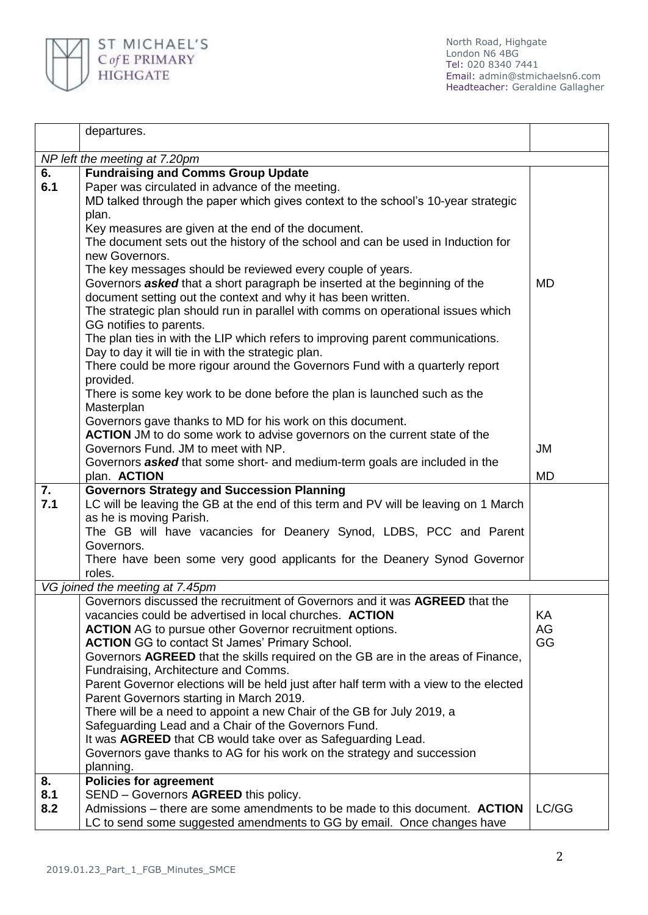

|           | departures.                                                                                                                                     |           |  |  |  |
|-----------|-------------------------------------------------------------------------------------------------------------------------------------------------|-----------|--|--|--|
|           | NP left the meeting at 7.20pm                                                                                                                   |           |  |  |  |
| 6.        | <b>Fundraising and Comms Group Update</b>                                                                                                       |           |  |  |  |
| 6.1       | Paper was circulated in advance of the meeting.                                                                                                 |           |  |  |  |
|           | MD talked through the paper which gives context to the school's 10-year strategic                                                               |           |  |  |  |
|           | plan.                                                                                                                                           |           |  |  |  |
|           | Key measures are given at the end of the document.                                                                                              |           |  |  |  |
|           | The document sets out the history of the school and can be used in Induction for                                                                |           |  |  |  |
|           | new Governors.                                                                                                                                  |           |  |  |  |
|           | The key messages should be reviewed every couple of years.<br>Governors <b>asked</b> that a short paragraph be inserted at the beginning of the |           |  |  |  |
|           | document setting out the context and why it has been written.                                                                                   | <b>MD</b> |  |  |  |
|           | The strategic plan should run in parallel with comms on operational issues which                                                                |           |  |  |  |
|           | GG notifies to parents.                                                                                                                         |           |  |  |  |
|           | The plan ties in with the LIP which refers to improving parent communications.                                                                  |           |  |  |  |
|           | Day to day it will tie in with the strategic plan.                                                                                              |           |  |  |  |
|           | There could be more rigour around the Governors Fund with a quarterly report                                                                    |           |  |  |  |
|           | provided.                                                                                                                                       |           |  |  |  |
|           | There is some key work to be done before the plan is launched such as the                                                                       |           |  |  |  |
|           | Masterplan                                                                                                                                      |           |  |  |  |
|           | Governors gave thanks to MD for his work on this document.<br>ACTION JM to do some work to advise governors on the current state of the         |           |  |  |  |
|           | Governors Fund. JM to meet with NP.                                                                                                             | <b>JM</b> |  |  |  |
|           | Governors <b>asked</b> that some short- and medium-term goals are included in the                                                               |           |  |  |  |
|           | plan. <b>ACTION</b>                                                                                                                             | <b>MD</b> |  |  |  |
| 7.        | <b>Governors Strategy and Succession Planning</b>                                                                                               |           |  |  |  |
| 7.1       | LC will be leaving the GB at the end of this term and PV will be leaving on 1 March                                                             |           |  |  |  |
|           | as he is moving Parish.                                                                                                                         |           |  |  |  |
|           | The GB will have vacancies for Deanery Synod, LDBS, PCC and Parent<br>Governors.                                                                |           |  |  |  |
|           | There have been some very good applicants for the Deanery Synod Governor                                                                        |           |  |  |  |
|           | roles.                                                                                                                                          |           |  |  |  |
|           | VG joined the meeting at 7.45pm                                                                                                                 |           |  |  |  |
|           | Governors discussed the recruitment of Governors and it was AGREED that the                                                                     |           |  |  |  |
|           | vacancies could be advertised in local churches. <b>ACTION</b>                                                                                  | ΚA        |  |  |  |
|           | <b>ACTION</b> AG to pursue other Governor recruitment options.                                                                                  | AG        |  |  |  |
|           | <b>ACTION</b> GG to contact St James' Primary School.                                                                                           | GG        |  |  |  |
|           | Governors AGREED that the skills required on the GB are in the areas of Finance,<br>Fundraising, Architecture and Comms.                        |           |  |  |  |
|           | Parent Governor elections will be held just after half term with a view to the elected                                                          |           |  |  |  |
|           | Parent Governors starting in March 2019.                                                                                                        |           |  |  |  |
|           | There will be a need to appoint a new Chair of the GB for July 2019, a                                                                          |           |  |  |  |
|           | Safeguarding Lead and a Chair of the Governors Fund.                                                                                            |           |  |  |  |
|           | It was AGREED that CB would take over as Safeguarding Lead.                                                                                     |           |  |  |  |
|           | Governors gave thanks to AG for his work on the strategy and succession                                                                         |           |  |  |  |
|           | planning.                                                                                                                                       |           |  |  |  |
| 8.<br>8.1 | <b>Policies for agreement</b>                                                                                                                   |           |  |  |  |
| 8.2       | SEND - Governors AGREED this policy.<br>Admissions – there are some amendments to be made to this document. ACTION                              | LC/GG     |  |  |  |
|           | LC to send some suggested amendments to GG by email. Once changes have                                                                          |           |  |  |  |
|           |                                                                                                                                                 |           |  |  |  |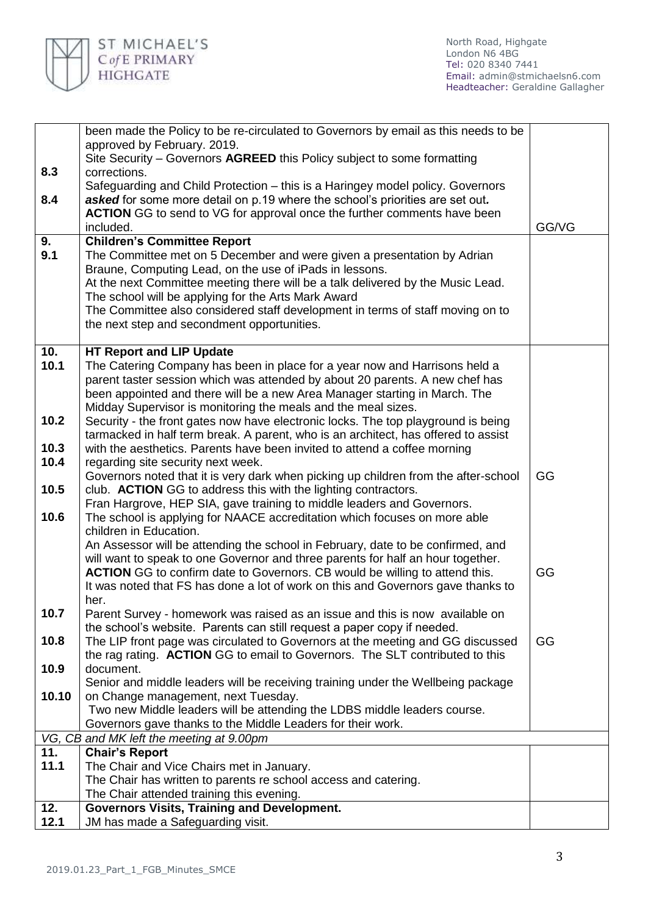

|       | been made the Policy to be re-circulated to Governors by email as this needs to be                                                                             |       |
|-------|----------------------------------------------------------------------------------------------------------------------------------------------------------------|-------|
|       | approved by February. 2019.                                                                                                                                    |       |
|       | Site Security - Governors AGREED this Policy subject to some formatting                                                                                        |       |
| 8.3   | corrections.                                                                                                                                                   |       |
|       | Safeguarding and Child Protection – this is a Haringey model policy. Governors                                                                                 |       |
| 8.4   | asked for some more detail on p.19 where the school's priorities are set out.                                                                                  |       |
|       | <b>ACTION</b> GG to send to VG for approval once the further comments have been                                                                                |       |
|       | included.                                                                                                                                                      | GG/VG |
| 9.    | <b>Children's Committee Report</b>                                                                                                                             |       |
| 9.1   | The Committee met on 5 December and were given a presentation by Adrian                                                                                        |       |
|       | Braune, Computing Lead, on the use of iPads in lessons.                                                                                                        |       |
|       | At the next Committee meeting there will be a talk delivered by the Music Lead.                                                                                |       |
|       | The school will be applying for the Arts Mark Award                                                                                                            |       |
|       | The Committee also considered staff development in terms of staff moving on to                                                                                 |       |
|       | the next step and secondment opportunities.                                                                                                                    |       |
| 10.   | <b>HT Report and LIP Update</b>                                                                                                                                |       |
| 10.1  | The Catering Company has been in place for a year now and Harrisons held a                                                                                     |       |
|       | parent taster session which was attended by about 20 parents. A new chef has                                                                                   |       |
|       | been appointed and there will be a new Area Manager starting in March. The                                                                                     |       |
|       | Midday Supervisor is monitoring the meals and the meal sizes.                                                                                                  |       |
| 10.2  | Security - the front gates now have electronic locks. The top playground is being                                                                              |       |
|       | tarmacked in half term break. A parent, who is an architect, has offered to assist                                                                             |       |
| 10.3  | with the aesthetics. Parents have been invited to attend a coffee morning                                                                                      |       |
| 10.4  | regarding site security next week.                                                                                                                             |       |
|       | Governors noted that it is very dark when picking up children from the after-school                                                                            | GG    |
| 10.5  | club. ACTION GG to address this with the lighting contractors.                                                                                                 |       |
|       | Fran Hargrove, HEP SIA, gave training to middle leaders and Governors.                                                                                         |       |
| 10.6  | The school is applying for NAACE accreditation which focuses on more able                                                                                      |       |
|       | children in Education.                                                                                                                                         |       |
|       | An Assessor will be attending the school in February, date to be confirmed, and                                                                                |       |
|       | will want to speak to one Governor and three parents for half an hour together.                                                                                |       |
|       | <b>ACTION</b> GG to confirm date to Governors. CB would be willing to attend this.                                                                             | GG    |
|       | It was noted that FS has done a lot of work on this and Governors gave thanks to                                                                               |       |
|       | her.                                                                                                                                                           |       |
| 10.7  | Parent Survey - homework was raised as an issue and this is now available on                                                                                   |       |
| 10.8  | the school's website. Parents can still request a paper copy if needed.                                                                                        | GG    |
|       | The LIP front page was circulated to Governors at the meeting and GG discussed<br>the rag rating. ACTION GG to email to Governors. The SLT contributed to this |       |
| 10.9  | document.                                                                                                                                                      |       |
|       | Senior and middle leaders will be receiving training under the Wellbeing package                                                                               |       |
| 10.10 | on Change management, next Tuesday.                                                                                                                            |       |
|       | Two new Middle leaders will be attending the LDBS middle leaders course.                                                                                       |       |
|       | Governors gave thanks to the Middle Leaders for their work.                                                                                                    |       |
|       | VG, CB and MK left the meeting at 9.00pm                                                                                                                       |       |
| 11.   | <b>Chair's Report</b>                                                                                                                                          |       |
| 11.1  | The Chair and Vice Chairs met in January.                                                                                                                      |       |
|       | The Chair has written to parents re school access and catering.                                                                                                |       |
|       | The Chair attended training this evening.                                                                                                                      |       |
| 12.   | <b>Governors Visits, Training and Development.</b>                                                                                                             |       |
| 12.1  | JM has made a Safeguarding visit.                                                                                                                              |       |